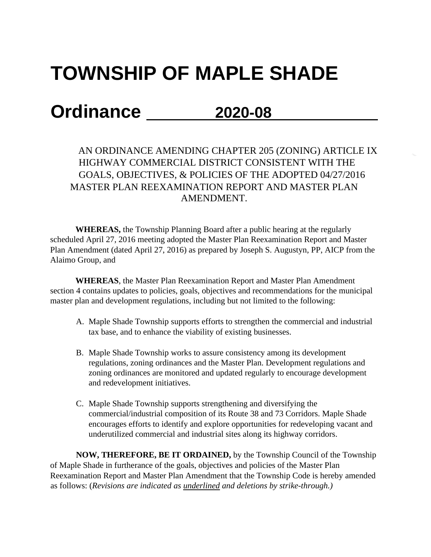## **TOWNSHIP OF MAPLE SHADE**

## **Ordinance 2020-08**

AN ORDINANCE AMENDING CHAPTER 205 (ZONING) ARTICLE IX HIGHWAY COMMERCIAL DISTRICT CONSISTENT WITH THE GOALS, OBJECTIVES, & POLICIES OF THE ADOPTED 04/27/2016 MASTER PLAN REEXAMINATION REPORT AND MASTER PLAN AMENDMENT.

**WHEREAS,** the Township Planning Board after a public hearing at the regularly scheduled April 27, 2016 meeting adopted the Master Plan Reexamination Report and Master Plan Amendment (dated April 27, 2016) as prepared by Joseph S. Augustyn, PP, AICP from the Alaimo Group, and

**WHEREAS**, the Master Plan Reexamination Report and Master Plan Amendment section 4 contains updates to policies, goals, objectives and recommendations for the municipal master plan and development regulations, including but not limited to the following:

- A. Maple Shade Township supports efforts to strengthen the commercial and industrial tax base, and to enhance the viability of existing businesses.
- B. Maple Shade Township works to assure consistency among its development regulations, zoning ordinances and the Master Plan. Development regulations and zoning ordinances are monitored and updated regularly to encourage development and redevelopment initiatives.
- C. Maple Shade Township supports strengthening and diversifying the commercial/industrial composition of its Route 38 and 73 Corridors. Maple Shade encourages efforts to identify and explore opportunities for redeveloping vacant and underutilized commercial and industrial sites along its highway corridors.

**NOW, THEREFORE, BE IT ORDAINED,** by the Township Council of the Township of Maple Shade in furtherance of the goals, objectives and policies of the Master Plan Reexamination Report and Master Plan Amendment that the Township Code is hereby amended as follows: (*Revisions are indicated as underlined and deletions by strike-through.)*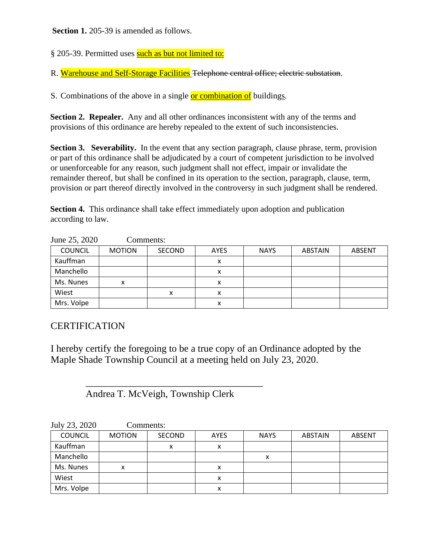**Section 1.** 205-39 is amended as follows.

§ 205-39. Permitted uses such as but not limited to:

R. Warehouse and Self-Storage Facilities Telephone central office; electric substation.

S. Combinations of the above in a single **or combination of** buildings.

**Section 2. Repealer.** Any and all other ordinances inconsistent with any of the terms and provisions of this ordinance are hereby repealed to the extent of such inconsistencies.

**Section 3. Severability.** In the event that any section paragraph, clause phrase, term, provision or part of this ordinance shall be adjudicated by a court of competent jurisdiction to be involved or unenforceable for any reason, such judgment shall not effect, impair or invalidate the remainder thereof, but shall be confined in its operation to the section, paragraph, clause, term, provision or part thereof directly involved in the controversy in such judgment shall be rendered.

**Section 4.** This ordinance shall take effect immediately upon adoption and publication according to law.

| $J$ unc $\omega$ , $\omega\omega$ | COMMUNIS.     |        |             |             |                |               |
|-----------------------------------|---------------|--------|-------------|-------------|----------------|---------------|
| <b>COUNCIL</b>                    | <b>MOTION</b> | SECOND | <b>AYES</b> | <b>NAYS</b> | <b>ABSTAIN</b> | <b>ABSENT</b> |
| Kauffman                          |               |        | ⋏           |             |                |               |
| Manchello                         |               |        | х           |             |                |               |
| Ms. Nunes                         | х             |        | ⋏           |             |                |               |
| Wiest                             |               |        | ́           |             |                |               |
| Mrs. Volpe                        |               |        | х           |             |                |               |

 $\frac{75}{2020}$  Comments:

## **CERTIFICATION**

I hereby certify the foregoing to be a true copy of an Ordinance adopted by the Maple Shade Township Council at a meeting held on July 23, 2020.

Andrea T. McVeigh, Township Clerk

 $\overline{\phantom{a}}$  , which is the set of the set of the set of the set of the set of the set of the set of the set of the set of the set of the set of the set of the set of the set of the set of the set of the set of the set of

| July 23, 2020  | Comments:     |        |             |             |                |               |
|----------------|---------------|--------|-------------|-------------|----------------|---------------|
| <b>COUNCIL</b> | <b>MOTION</b> | SECOND | <b>AYES</b> | <b>NAYS</b> | <b>ABSTAIN</b> | <b>ABSENT</b> |
| Kauffman       |               | x      | х           |             |                |               |
| Manchello      |               |        |             | х           |                |               |
| Ms. Nunes      | х             |        | x           |             |                |               |
| Wiest          |               |        | x           |             |                |               |
| Mrs. Volpe     |               |        | x           |             |                |               |